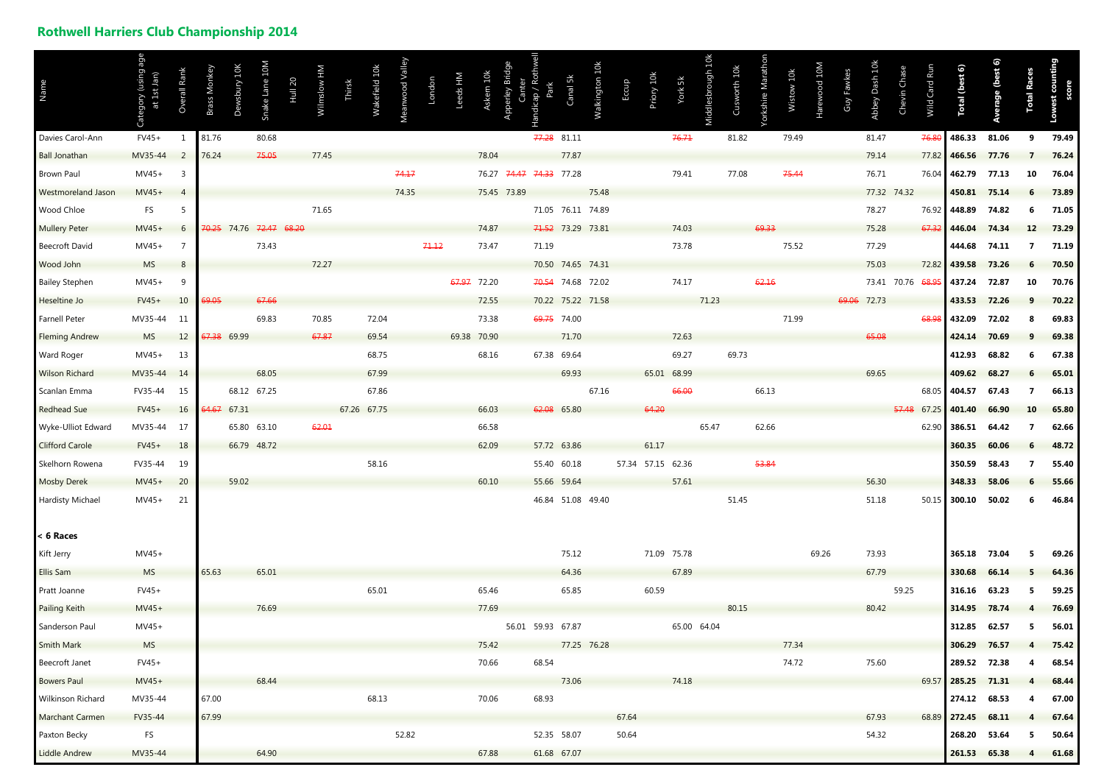## **Rothwell Harriers Club Championship 2014**

| Name                      |           | Rank<br>$\circ$            | Brass Monke | wsbury 10K<br>ă | Snake Lane 10M          | <b>Hull 20</b> | Wilmslow HM | Thirsk | Wakefield 10k | Meanwood Valley | London | Leeds HM    | Askern 10k  | Apperley Bridge<br>Canter | Park<br>andicap         | Canal 5k | Walkington 10k    | Eccup | Priory 10k | York 5k           | Middlesbrough 10k | Cusworth 10k | /orkshire Marathon | Wistow 10k | larewood 10M | Guy Fawkes | Abbey Dash 10k | Chevin Chase | Card Run<br>Wild | Total (best 6)     | Average (best 6) | <b>Total Races</b> | counting |
|---------------------------|-----------|----------------------------|-------------|-----------------|-------------------------|----------------|-------------|--------|---------------|-----------------|--------|-------------|-------------|---------------------------|-------------------------|----------|-------------------|-------|------------|-------------------|-------------------|--------------|--------------------|------------|--------------|------------|----------------|--------------|------------------|--------------------|------------------|--------------------|----------|
| Davies Carol-Ann          | $FV45+$   | - 1                        | 81.76       |                 | 80.68                   |                |             |        |               |                 |        |             |             |                           | 77.28 81.11             |          |                   |       |            | 76.71             |                   | 81.82        |                    | 79.49      |              |            | 81.47          |              | 76.8             | 486.33             | 81.06            | 9                  | 79.49    |
| <b>Ball Jonathan</b>      | MV35-44   | $\overline{\phantom{0}}^2$ | 76.24       |                 | 75.05                   |                | 77.45       |        |               |                 |        |             | 78.04       |                           |                         | 77.87    |                   |       |            |                   |                   |              |                    |            |              |            | 79.14          |              | 77.82            | 466.56             | 77.76            |                    | 76.24    |
| <b>Brown Paul</b>         | $MV45+$   | $\overline{\mathbf{3}}$    |             |                 |                         |                |             |        |               | 74.17           |        |             |             |                           | 76.27 74.47 74.33 77.28 |          |                   |       |            | 79.41             |                   | 77.08        |                    | 75.44      |              |            | 76.71          |              | 76.04            | 462.79             | 77.13            | 10                 | 76.04    |
| <b>Westmoreland Jason</b> | $MV45+$   | $\overline{4}$             |             |                 |                         |                |             |        |               | 74.35           |        |             |             | 75.45 73.89               |                         |          | 75.48             |       |            |                   |                   |              |                    |            |              |            |                | 77.32 74.32  |                  | 450.81             | 75.14            |                    | 73.89    |
| Wood Chloe                | <b>FS</b> | -5                         |             |                 |                         |                | 71.65       |        |               |                 |        |             |             |                           |                         |          | 71.05 76.11 74.89 |       |            |                   |                   |              |                    |            |              |            | 78.27          |              | 76.92            | 448.89             | 74.82            |                    | 71.05    |
| <b>Mullery Peter</b>      | $MV45+$   | 6                          |             |                 | 70.25 74.76 72.47 68.20 |                |             |        |               |                 |        |             | 74.87       |                           |                         |          | 71.52 73.29 73.81 |       |            | 74.03             |                   |              | 69.33              |            |              |            | 75.28          |              | 67.32            | 446.04             | 74.34            | 12                 | 73.29    |
| Beecroft David            | $MV45+$   |                            |             |                 | 73.43                   |                |             |        |               |                 | 71.12  |             | 73.47       |                           | 71.19                   |          |                   |       |            | 73.78             |                   |              |                    | 75.52      |              |            | 77.29          |              |                  | 444.68             | 74.11            |                    | 71.19    |
| Wood John                 | <b>MS</b> | 8                          |             |                 |                         |                | 72.27       |        |               |                 |        |             |             |                           |                         |          | 70.50 74.65 74.31 |       |            |                   |                   |              |                    |            |              |            | 75.03          |              | 72.82            | 439.58             | 73.26            |                    | 70.50    |
| <b>Bailey Stephen</b>     | $MV45+$   | 9                          |             |                 |                         |                |             |        |               |                 |        |             | 67.97 72.20 |                           |                         |          | 70.54 74.68 72.02 |       |            | 74.17             |                   |              | 62.16              |            |              |            |                | 73.41 70.76  | <del>68.9!</del> | 437.24             | 72.87            | 10                 | 70.76    |
| Heseltine Jo              | $FV45+$   | 10                         | 69.05       |                 | 67.66                   |                |             |        |               |                 |        |             | 72.55       |                           |                         |          | 70.22 75.22 71.58 |       |            |                   | 71.23             |              |                    |            |              |            | 69.06 72.73    |              |                  | 433.53             | 72.26            |                    | 70.22    |
| <b>Farnell Peter</b>      | MV35-44   | 11                         |             |                 | 69.83                   |                | 70.85       |        | 72.04         |                 |        |             | 73.38       |                           | 69.75 74.00             |          |                   |       |            |                   |                   |              |                    | 71.99      |              |            |                |              | 68.98            | 432.09             | 72.02            |                    | 69.83    |
| <b>Fleming Andrew</b>     | <b>MS</b> | 12                         |             | 67.38 69.99     |                         |                | 67.87       |        | 69.54         |                 |        | 69.38 70.90 |             |                           |                         | 71.70    |                   |       |            | 72.63             |                   |              |                    |            |              |            | 65.08          |              |                  | 424.14             | 70.69            |                    | 69.38    |
| Ward Roger                | $MV45+$   | 13                         |             |                 |                         |                |             |        | 68.75         |                 |        |             | 68.16       |                           | 67.38 69.64             |          |                   |       |            | 69.27             |                   | 69.73        |                    |            |              |            |                |              |                  | 412.93             | 68.82            |                    | 67.38    |
| <b>Wilson Richard</b>     | MV35-44   | 14                         |             |                 | 68.05                   |                |             |        | 67.99         |                 |        |             |             |                           |                         | 69.93    |                   |       |            | 65.01 68.99       |                   |              |                    |            |              |            | 69.65          |              |                  | 409.62             | 68.27            |                    | 65.01    |
| Scanlan Emma              | FV35-44   | 15                         |             |                 | 68.12 67.25             |                |             |        | 67.86         |                 |        |             |             |                           |                         |          | 67.16             |       |            | 66.00             |                   |              | 66.13              |            |              |            |                |              | 68.05            | 404.57             | 67.43            |                    | 66.13    |
| <b>Redhead Sue</b>        | $FV45+$   | 16                         | 64.67 67.31 |                 |                         |                |             |        | 67.26 67.75   |                 |        |             | 66.03       |                           | 62.08 65.80             |          |                   |       | 64.20      |                   |                   |              |                    |            |              |            |                | 57.48        | 67.25            | 401.40             | 66.90            |                    | 65.80    |
| Wyke-Ulliot Edward        | MV35-44   | -17                        |             |                 | 65.80 63.10             |                | 62.01       |        |               |                 |        |             | 66.58       |                           |                         |          |                   |       |            |                   | 65.47             |              | 62.66              |            |              |            |                |              | 62.90            | 386.51             | 64.42            |                    | 62.66    |
| <b>Clifford Carole</b>    | $FV45+$   | 18                         |             |                 | 66.79 48.72             |                |             |        |               |                 |        |             | 62.09       |                           | 57.72 63.86             |          |                   |       | 61.17      |                   |                   |              |                    |            |              |            |                |              |                  | 360.35             | 60.06            |                    | 48.72    |
| Skelhorn Rowena           | FV35-44   | 19                         |             |                 |                         |                |             |        | 58.16         |                 |        |             |             |                           | 55.40 60.18             |          |                   |       |            | 57.34 57.15 62.36 |                   |              | 53.84              |            |              |            |                |              |                  | 350.59             | 58.43            |                    | 55.40    |
| <b>Mosby Derek</b>        | MV45+ 20  |                            |             | 59.02           |                         |                |             |        |               |                 |        |             | 60.10       |                           | 55.66 59.64             |          |                   |       |            | 57.61             |                   |              |                    |            |              |            | 56.30          |              |                  | 348.33             | 58.06            |                    | 55.66    |
| <b>Hardisty Michael</b>   | MV45+     | 21                         |             |                 |                         |                |             |        |               |                 |        |             |             |                           |                         |          | 46.84 51.08 49.40 |       |            |                   |                   | 51.45        |                    |            |              |            | 51.18          |              | 50.15            | 300.10             | 50.02            | 6                  | 46.84    |
| $< 6$ Races               |           |                            |             |                 |                         |                |             |        |               |                 |        |             |             |                           |                         |          |                   |       |            |                   |                   |              |                    |            |              |            |                |              |                  |                    |                  |                    |          |
| Kift Jerry                | $MV45+$   |                            |             |                 |                         |                |             |        |               |                 |        |             |             |                           |                         | 75.12    |                   |       |            | 71.09 75.78       |                   |              |                    |            | 69.26        |            | 73.93          |              |                  | 365.18             | 73.04            |                    | 69.26    |
| Ellis Sam                 | <b>MS</b> |                            | 65.63       |                 | 65.01                   |                |             |        |               |                 |        |             |             |                           |                         | 64.36    |                   |       |            | 67.89             |                   |              |                    |            |              |            | 67.79          |              |                  | 330.68             | 66.14            |                    | 64.36    |
| Pratt Joanne              | $FV45+$   |                            |             |                 |                         |                |             |        | 65.01         |                 |        |             | 65.46       |                           |                         | 65.85    |                   |       | 60.59      |                   |                   |              |                    |            |              |            |                | 59.25        |                  | 316.16 63.23       |                  |                    | 59.25    |
| <b>Pailing Keith</b>      | $MV45+$   |                            |             |                 | 76.69                   |                |             |        |               |                 |        |             | 77.69       |                           |                         |          |                   |       |            |                   |                   | 80.15        |                    |            |              |            | 80.42          |              |                  | 314.95             | 78.74            |                    | 76.69    |
| Sanderson Paul            | $MV45+$   |                            |             |                 |                         |                |             |        |               |                 |        |             |             |                           | 56.01 59.93 67.87       |          |                   |       |            | 65.00 64.04       |                   |              |                    |            |              |            |                |              |                  | 312.85             | 62.57            |                    | 56.01    |
| <b>Smith Mark</b>         | <b>MS</b> |                            |             |                 |                         |                |             |        |               |                 |        |             | 75.42       |                           |                         |          | 77.25 76.28       |       |            |                   |                   |              |                    | 77.34      |              |            |                |              |                  | 306.29             | 76.57            |                    | 75.42    |
| Beecroft Janet            | $FV45+$   |                            |             |                 |                         |                |             |        |               |                 |        |             | 70.66       |                           | 68.54                   |          |                   |       |            |                   |                   |              |                    | 74.72      |              |            | 75.60          |              |                  | 289.52 72.38       |                  | 4                  | 68.54    |
| <b>Bowers Paul</b>        | $MV45+$   |                            |             |                 | 68.44                   |                |             |        |               |                 |        |             |             |                           |                         | 73.06    |                   |       |            | 74.18             |                   |              |                    |            |              |            |                |              |                  | 69.57 285.25 71.31 |                  |                    | 68.44    |
| Wilkinson Richard         | MV35-44   |                            | 67.00       |                 |                         |                |             |        | 68.13         |                 |        |             | 70.06       |                           | 68.93                   |          |                   |       |            |                   |                   |              |                    |            |              |            |                |              |                  | 274.12 68.53       |                  |                    | 67.00    |
| <b>Marchant Carmen</b>    | FV35-44   |                            | 67.99       |                 |                         |                |             |        |               |                 |        |             |             |                           |                         |          |                   | 67.64 |            |                   |                   |              |                    |            |              |            | 67.93          |              |                  | 68.89 272.45       | 68.11            |                    | 67.64    |
| Paxton Becky              | FS        |                            |             |                 |                         |                |             |        |               | 52.82           |        |             |             |                           | 52.35 58.07             |          |                   | 50.64 |            |                   |                   |              |                    |            |              |            | 54.32          |              |                  | 268.20 53.64       |                  |                    | 50.64    |
| Liddle Andrew             | MV35-44   |                            |             |                 | 64.90                   |                |             |        |               |                 |        |             | 67.88       |                           | 61.68 67.07             |          |                   |       |            |                   |                   |              |                    |            |              |            |                |              |                  | 261.53 65.38       |                  | 4                  | 61.68    |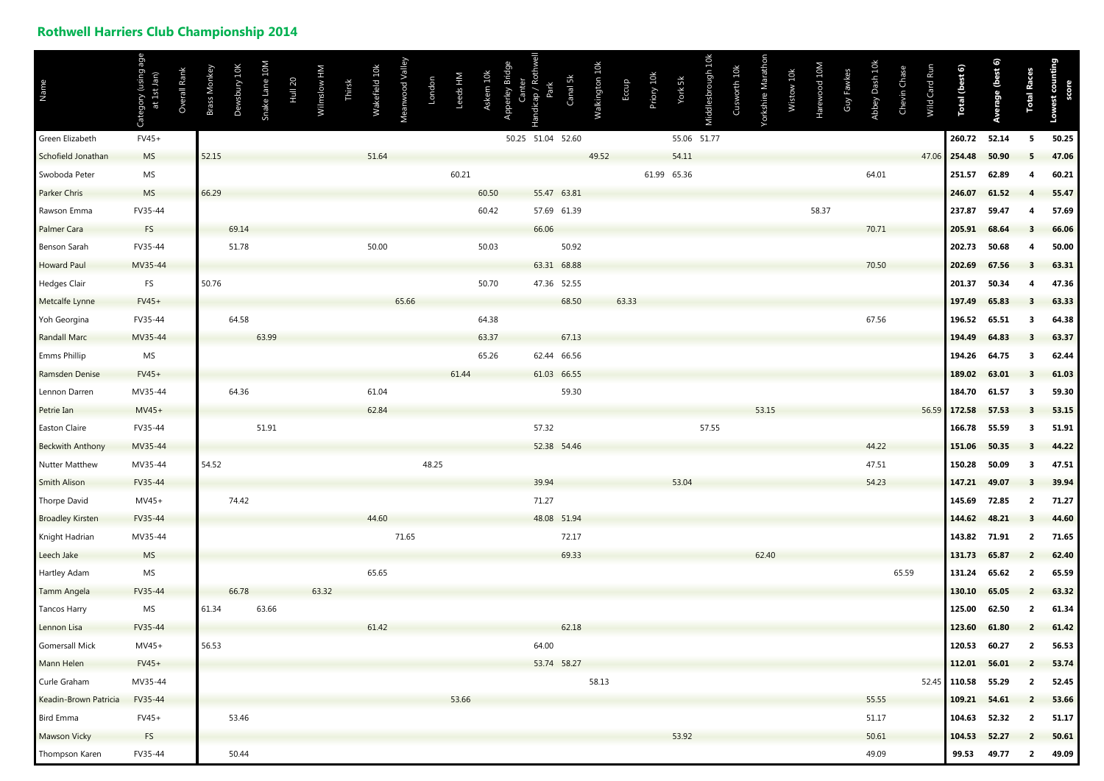## **Rothwell Harriers Club Championship 2014**

| Name                    | age<br>Category (using<br>at 1st Jan | Overall Rank | Brass Monkey | Dewsbury 10K | Snake Lane 10M | <b>Hull 20</b> | Wilmslow HM | Thirsk | Wakefield 10k | Meanwood Valley | London | Leeds HM | Askern 10k | Apperley Bridge<br>Canter | Rothwell<br>Park<br>Handicap | Canal 5k | Walkington 10k | Eccup | Priory 10k | York 5k     | Middlesbrough 10k | Cusworth 10k | Yorkshire Marathon | Wistow 10k | Harewood 10M | Guy Fawkes | Abbey Dash 10k | Chevin Chase | Wild Card Run | Total (best 6)     | Average (best 6) | <b>Total Races</b> | Lowest counting |
|-------------------------|--------------------------------------|--------------|--------------|--------------|----------------|----------------|-------------|--------|---------------|-----------------|--------|----------|------------|---------------------------|------------------------------|----------|----------------|-------|------------|-------------|-------------------|--------------|--------------------|------------|--------------|------------|----------------|--------------|---------------|--------------------|------------------|--------------------|-----------------|
| Green Elizabeth         | $FV45+$                              |              |              |              |                |                |             |        |               |                 |        |          |            |                           | 50.25 51.04 52.60            |          |                |       |            | 55.06 51.77 |                   |              |                    |            |              |            |                |              |               | 260.72             | 52.14            | 5                  | 50.25           |
| Schofield Jonathan      | <b>MS</b>                            |              | 52.15        |              |                |                |             |        | 51.64         |                 |        |          |            |                           |                              |          | 49.52          |       |            | 54.11       |                   |              |                    |            |              |            |                |              |               | 47.06 254.48       | 50.90            |                    | 47.06           |
| Swoboda Peter           | MS                                   |              |              |              |                |                |             |        |               |                 |        | 60.21    |            |                           |                              |          |                |       |            | 61.99 65.36 |                   |              |                    |            |              |            | 64.01          |              |               | 251.57             | 62.89            |                    | 60.21           |
| <b>Parker Chris</b>     | <b>MS</b>                            |              | 66.29        |              |                |                |             |        |               |                 |        |          | 60.50      |                           | 55.47 63.81                  |          |                |       |            |             |                   |              |                    |            |              |            |                |              |               | 246.07             | 61.52            |                    | 55.47           |
| Rawson Emma             | FV35-44                              |              |              |              |                |                |             |        |               |                 |        |          | 60.42      |                           | 57.69 61.39                  |          |                |       |            |             |                   |              |                    |            | 58.37        |            |                |              |               | 237.87             | 59.47            |                    | 57.69           |
| <b>Palmer Cara</b>      | <b>FS</b>                            |              |              | 69.14        |                |                |             |        |               |                 |        |          |            |                           | 66.06                        |          |                |       |            |             |                   |              |                    |            |              |            | 70.71          |              |               | 205.91             | 68.64            |                    | 66.06           |
| <b>Benson Sarah</b>     | FV35-44                              |              |              | 51.78        |                |                |             |        | 50.00         |                 |        |          | 50.03      |                           |                              | 50.92    |                |       |            |             |                   |              |                    |            |              |            |                |              |               | 202.73             | 50.68            |                    | 50.00           |
| <b>Howard Paul</b>      | MV35-44                              |              |              |              |                |                |             |        |               |                 |        |          |            |                           | 63.31 68.88                  |          |                |       |            |             |                   |              |                    |            |              |            | 70.50          |              |               | 202.69             | 67.56            |                    | 63.31           |
| <b>Hedges Clair</b>     | <b>FS</b>                            |              | 50.76        |              |                |                |             |        |               |                 |        |          | 50.70      |                           | 47.36 52.55                  |          |                |       |            |             |                   |              |                    |            |              |            |                |              |               | 201.37             | 50.34            |                    | 47.36           |
| Metcalfe Lynne          | $FV45+$                              |              |              |              |                |                |             |        |               | 65.66           |        |          |            |                           |                              | 68.50    |                | 63.33 |            |             |                   |              |                    |            |              |            |                |              |               | 197.49             | 65.83            |                    | 63.33           |
| Yoh Georgina            | FV35-44                              |              |              | 64.58        |                |                |             |        |               |                 |        |          | 64.38      |                           |                              |          |                |       |            |             |                   |              |                    |            |              |            | 67.56          |              |               | 196.52             | 65.51            | 3                  | 64.38           |
| <b>Randall Marc</b>     | MV35-44                              |              |              |              | 63.99          |                |             |        |               |                 |        |          | 63.37      |                           |                              | 67.13    |                |       |            |             |                   |              |                    |            |              |            |                |              |               | 194.49             | 64.83            |                    | 63.37           |
| <b>Emms Phillip</b>     | MS                                   |              |              |              |                |                |             |        |               |                 |        |          | 65.26      |                           | 62.44 66.56                  |          |                |       |            |             |                   |              |                    |            |              |            |                |              |               | 194.26             | 64.75            |                    | 62.44           |
| Ramsden Denise          | $FV45+$                              |              |              |              |                |                |             |        |               |                 |        | 61.44    |            |                           | 61.03 66.55                  |          |                |       |            |             |                   |              |                    |            |              |            |                |              |               | 189.02             | 63.01            |                    | 61.03           |
| Lennon Darren           | MV35-44                              |              |              | 64.36        |                |                |             |        | 61.04         |                 |        |          |            |                           |                              | 59.30    |                |       |            |             |                   |              |                    |            |              |            |                |              |               | 184.70             | 61.57            | 3                  | 59.30           |
| Petrie Ian              | $MV45+$                              |              |              |              |                |                |             |        | 62.84         |                 |        |          |            |                           |                              |          |                |       |            |             |                   |              | 53.15              |            |              |            |                |              |               | 56.59 172.58       | 57.53            |                    | 53.15           |
| <b>Easton Claire</b>    | FV35-44                              |              |              |              | 51.91          |                |             |        |               |                 |        |          |            |                           | 57.32                        |          |                |       |            |             | 57.55             |              |                    |            |              |            |                |              |               | 166.78             | 55.59            | 3                  | 51.91           |
| <b>Beckwith Anthony</b> | MV35-44                              |              |              |              |                |                |             |        |               |                 |        |          |            |                           | 52.38 54.46                  |          |                |       |            |             |                   |              |                    |            |              |            | 44.22          |              |               | 151.06             | 50.35            |                    | 44.22           |
| <b>Nutter Matthew</b>   | MV35-44                              |              | 54.52        |              |                |                |             |        |               |                 | 48.25  |          |            |                           |                              |          |                |       |            |             |                   |              |                    |            |              |            | 47.51          |              |               | 150.28             | 50.09            | 3                  | 47.51           |
| <b>Smith Alison</b>     | FV35-44                              |              |              |              |                |                |             |        |               |                 |        |          |            |                           | 39.94                        |          |                |       |            | 53.04       |                   |              |                    |            |              |            | 54.23          |              |               | 147.21             | 49.07            |                    | 39.94           |
| <b>Thorpe David</b>     | $MV45+$                              |              |              | 74.42        |                |                |             |        |               |                 |        |          |            |                           | 71.27                        |          |                |       |            |             |                   |              |                    |            |              |            |                |              |               | 145.69             | 72.85            | $\overline{2}$     | 71.27           |
| <b>Broadley Kirsten</b> | FV35-44                              |              |              |              |                |                |             |        | 44.60         |                 |        |          |            |                           | 48.08 51.94                  |          |                |       |            |             |                   |              |                    |            |              |            |                |              |               | 144.62             | 48.21            | 3                  | 44.60           |
| Knight Hadrian          | MV35-44                              |              |              |              |                |                |             |        |               | 71.65           |        |          |            |                           |                              | 72.17    |                |       |            |             |                   |              |                    |            |              |            |                |              |               | 143.82 71.91       |                  | $\overline{2}$     | 71.65           |
| Leech Jake              | <b>MS</b>                            |              |              |              |                |                |             |        |               |                 |        |          |            |                           |                              | 69.33    |                |       |            |             |                   |              | 62.40              |            |              |            |                |              |               | 131.73             | 65.87            | $\overline{2}$     | 62.40           |
| <b>Hartley Adam</b>     | MS                                   |              |              |              |                |                |             |        | 65.65         |                 |        |          |            |                           |                              |          |                |       |            |             |                   |              |                    |            |              |            |                | 65.59        |               | 131.24             | 65.62            | $\overline{2}$     | 65.59           |
| <b>Tamm Angela</b>      | FV35-44                              |              |              | 66.78        |                |                | 63.32       |        |               |                 |        |          |            |                           |                              |          |                |       |            |             |                   |              |                    |            |              |            |                |              |               | 130.10             | 65.05            | $\overline{2}$     | 63.32           |
| <b>Tancos Harry</b>     | MS                                   |              | 61.34        |              | 63.66          |                |             |        |               |                 |        |          |            |                           |                              |          |                |       |            |             |                   |              |                    |            |              |            |                |              |               | 125.00             | 62.50            | $\overline{2}$     | 61.34           |
| Lennon Lisa             | FV35-44                              |              |              |              |                |                |             |        | 61.42         |                 |        |          |            |                           |                              | 62.18    |                |       |            |             |                   |              |                    |            |              |            |                |              |               | 123.60             | 61.80            |                    | 61.42           |
| <b>Gomersall Mick</b>   | $MV45+$                              |              | 56.53        |              |                |                |             |        |               |                 |        |          |            |                           | 64.00                        |          |                |       |            |             |                   |              |                    |            |              |            |                |              |               | 120.53             | 60.27            | $\overline{2}$     | 56.53           |
| <b>Mann Helen</b>       | $FV45+$                              |              |              |              |                |                |             |        |               |                 |        |          |            |                           | 53.74 58.27                  |          |                |       |            |             |                   |              |                    |            |              |            |                |              |               | 112.01             | 56.01            | $\overline{2}$     | 53.74           |
| Curle Graham            | MV35-44                              |              |              |              |                |                |             |        |               |                 |        |          |            |                           |                              |          | 58.13          |       |            |             |                   |              |                    |            |              |            |                |              |               | 52.45 110.58 55.29 |                  | $\overline{2}$     | 52.45           |
| Keadin-Brown Patricia   | FV35-44                              |              |              |              |                |                |             |        |               |                 |        | 53.66    |            |                           |                              |          |                |       |            |             |                   |              |                    |            |              |            | 55.55          |              |               | 109.21             | 54.61            | $\overline{2}$     | 53.66           |
| Bird Emma               | $FV45+$                              |              |              | 53.46        |                |                |             |        |               |                 |        |          |            |                           |                              |          |                |       |            |             |                   |              |                    |            |              |            | 51.17          |              |               | 104.63             | 52.32            | $\overline{2}$     | 51.17           |
| <b>Mawson Vicky</b>     | <b>FS</b>                            |              |              |              |                |                |             |        |               |                 |        |          |            |                           |                              |          |                |       |            | 53.92       |                   |              |                    |            |              |            | 50.61          |              |               | 104.53             | 52.27            | $\overline{2}$     | 50.61           |
| Thompson Karen          | FV35-44                              |              |              | 50.44        |                |                |             |        |               |                 |        |          |            |                           |                              |          |                |       |            |             |                   |              |                    |            |              |            | 49.09          |              |               | 99.53              | 49.77            | $\overline{2}$     | 49.09           |